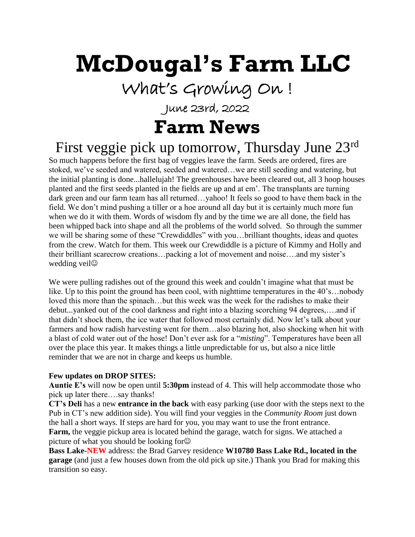# **McDougal's Farm LLC**

What's Growing On !

June 23rd, 2022

# **Farm News**

# First veggie pick up tomorrow, Thursday June 23rd

So much happens before the first bag of veggies leave the farm. Seeds are ordered, fires are stoked, we've seeded and watered, seeded and watered…we are still seeding and watering, but the initial planting is done...hallelujah! The greenhouses have been cleared out, all 3 hoop houses planted and the first seeds planted in the fields are up and at em'. The transplants are turning dark green and our farm team has all returned...yahoo! It feels so good to have them back in the field. We don't mind pushing a tiller or a hoe around all day but it is certainly much more fun when we do it with them. Words of wisdom fly and by the time we are all done, the field has been whipped back into shape and all the problems of the world solved. So through the summer we will be sharing some of these "Crewdiddles" with you…brilliant thoughts, ideas and quotes from the crew. Watch for them. This week our Crewdiddle is a picture of Kimmy and Holly and their brilliant scarecrow creations…packing a lot of movement and noise….and my sister's wedding veil<sup> $\odot$ </sup>

We were pulling radishes out of the ground this week and couldn't imagine what that must be like. Up to this point the ground has been cool, with nighttime temperatures in the 40's…nobody loved this more than the spinach…but this week was the week for the radishes to make their debut...yanked out of the cool darkness and right into a blazing scorching 94 degrees,….and if that didn't shock them, the ice water that followed most certainly did. Now let's talk about your farmers and how radish harvesting went for them...also blazing hot, also shocking when hit with a blast of cold water out of the hose! Don't ever ask for a "*misting*". Temperatures have been all over the place this year. It makes things a little unpredictable for us, but also a nice little reminder that we are not in charge and keeps us humble.

#### **Few updates on DROP SITES:**

**Auntie E's** will now be open until **5:30pm** instead of 4. This will help accommodate those who pick up later there….say thanks!

**CT's Deli** has a new **entrance in the back** with easy parking (use door with the steps next to the Pub in CT's new addition side). You will find your veggies in the *Community Room* just down the hall a short ways. If steps are hard for you, you may want to use the front entrance. **Farm,** the veggie pickup area is located behind the garage, watch for signs. We attached a picture of what you should be looking for

**Bass Lake-NEW** address: the Brad Garvey residence **W10780 Bass Lake Rd., located in the garage** (and just a few houses down from the old pick up site.) Thank you Brad for making this transition so easy.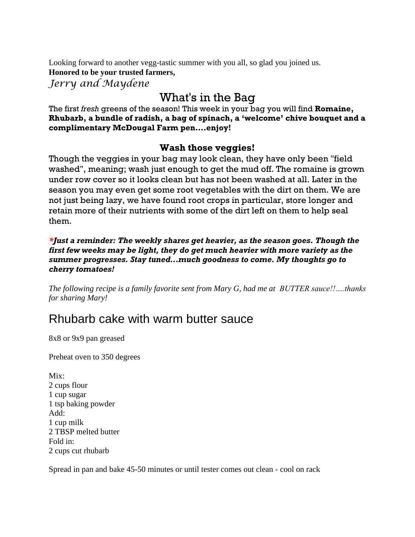Looking forward to another vegg-tastic summer with you all, so glad you joined us. **Honored to be your trusted farmers,** *Jerry and Maydene*

What's in the Bag

The first *fresh* greens of the season! This week in your bag you will find **Romaine, Rhubarb, a bundle of radish, a bag of spinach, a 'welcome' chive bouquet and a complimentary McDougal Farm pen….enjoy!**

#### **Wash those veggies!**

Though the veggies in your bag may look clean, they have only been "field washed", meaning; wash just enough to get the mud off. The romaine is grown under row cover so it looks clean but has not been washed at all. Later in the season you may even get some root vegetables with the dirt on them. We are not just being lazy, we have found root crops in particular, store longer and retain more of their nutrients with some of the dirt left on them to help seal them.

*\*Just a reminder: The weekly shares get heavier, as the season goes. Though the first few weeks may be light, they do get much heavier with more variety as the summer progresses. Stay tuned...much goodness to come. My thoughts go to cherry tomatoes!*

*The following recipe is a family favorite sent from Mary G, had me at BUTTER sauce!!….thanks for sharing Mary!*

### Rhubarb cake with warm butter sauce

8x8 or 9x9 pan greased

Preheat oven to 350 degrees

Mix: 2 cups flour 1 cup sugar 1 tsp baking powder Add: 1 cup milk 2 TBSP melted butter Fold in: 2 cups cut rhubarb

Spread in pan and bake 45-50 minutes or until tester comes out clean - cool on rack